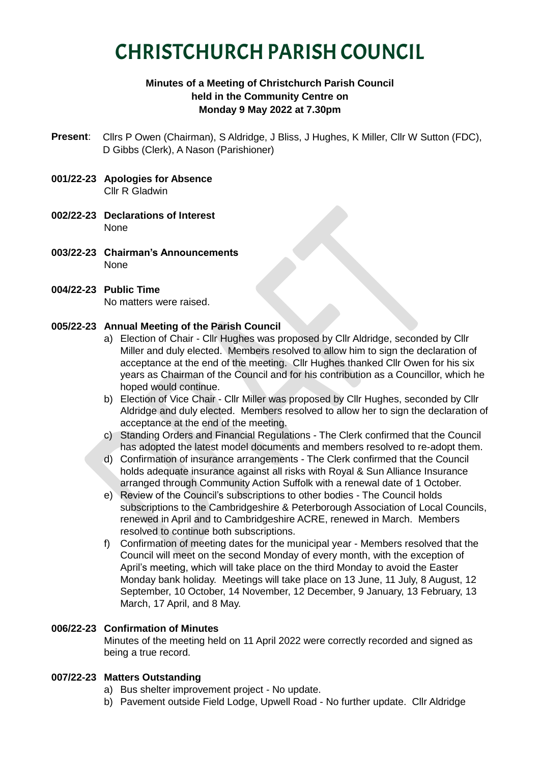# CHRISTCHURCH PARISH COUNCIL

# **Minutes of a Meeting of Christchurch Parish Council held in the Community Centre on Monday 9 May 2022 at 7.30pm**

- **Present**: Cllrs P Owen (Chairman), S Aldridge, J Bliss, J Hughes, K Miller, Cllr W Sutton (FDC), D Gibbs (Clerk), A Nason (Parishioner)
- **001/22-23 Apologies for Absence** Cllr R Gladwin
- **002/22-23 Declarations of Interest** None
- **003/22-23 Chairman's Announcements** None
- **004/22-23 Public Time**

No matters were raised.

# **005/22-23 Annual Meeting of the Parish Council**

- a) Election of Chair Cllr Hughes was proposed by Cllr Aldridge, seconded by Cllr Miller and duly elected. Members resolved to allow him to sign the declaration of acceptance at the end of the meeting. Cllr Hughes thanked Cllr Owen for his six years as Chairman of the Council and for his contribution as a Councillor, which he hoped would continue.
- b) Election of Vice Chair Cllr Miller was proposed by Cllr Hughes, seconded by Cllr Aldridge and duly elected. Members resolved to allow her to sign the declaration of acceptance at the end of the meeting.
- c) Standing Orders and Financial Regulations The Clerk confirmed that the Council has adopted the latest model documents and members resolved to re-adopt them.
- d) Confirmation of insurance arrangements The Clerk confirmed that the Council holds adequate insurance against all risks with Royal & Sun Alliance Insurance arranged through Community Action Suffolk with a renewal date of 1 October.
- e) Review of the Council's subscriptions to other bodies The Council holds subscriptions to the Cambridgeshire & Peterborough Association of Local Councils, renewed in April and to Cambridgeshire ACRE, renewed in March. Members resolved to continue both subscriptions.
- f) Confirmation of meeting dates for the municipal year Members resolved that the Council will meet on the second Monday of every month, with the exception of April's meeting, which will take place on the third Monday to avoid the Easter Monday bank holiday. Meetings will take place on 13 June, 11 July, 8 August, 12 September, 10 October, 14 November, 12 December, 9 January, 13 February, 13 March, 17 April, and 8 May.

# **006/22-23 Confirmation of Minutes**

Minutes of the meeting held on 11 April 2022 were correctly recorded and signed as being a true record.

# **007/22-23 Matters Outstanding**

- a) Bus shelter improvement project No update.
- b) Pavement outside Field Lodge, Upwell Road No further update. Cllr Aldridge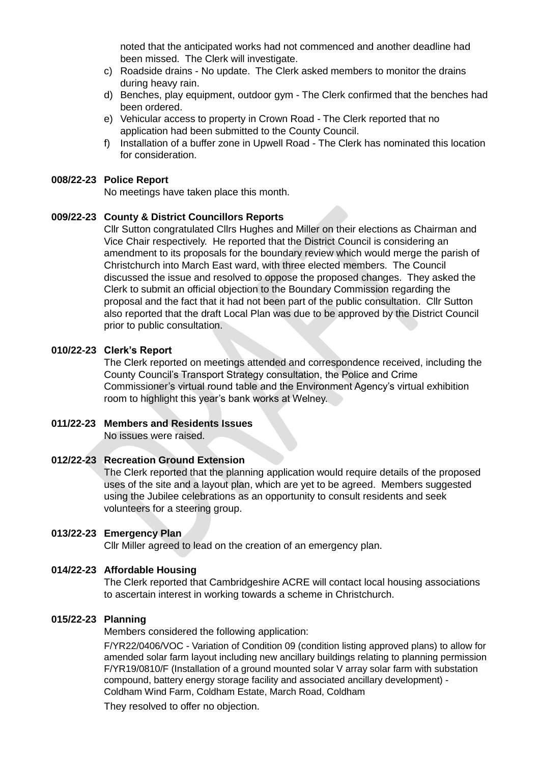noted that the anticipated works had not commenced and another deadline had been missed. The Clerk will investigate.

- c) Roadside drains No update. The Clerk asked members to monitor the drains during heavy rain.
- d) Benches, play equipment, outdoor gym The Clerk confirmed that the benches had been ordered.
- e) Vehicular access to property in Crown Road The Clerk reported that no application had been submitted to the County Council.
- f) Installation of a buffer zone in Upwell Road The Clerk has nominated this location for consideration.

#### **008/22-23 Police Report**

No meetings have taken place this month.

#### **009/22-23 County & District Councillors Reports**

Cllr Sutton congratulated Cllrs Hughes and Miller on their elections as Chairman and Vice Chair respectively. He reported that the District Council is considering an amendment to its proposals for the boundary review which would merge the parish of Christchurch into March East ward, with three elected members. The Council discussed the issue and resolved to oppose the proposed changes. They asked the Clerk to submit an official objection to the Boundary Commission regarding the proposal and the fact that it had not been part of the public consultation. Cllr Sutton also reported that the draft Local Plan was due to be approved by the District Council prior to public consultation.

#### **010/22-23 Clerk's Report**

The Clerk reported on meetings attended and correspondence received, including the County Council's Transport Strategy consultation, the Police and Crime Commissioner's virtual round table and the Environment Agency's virtual exhibition room to highlight this year's bank works at Welney.

# **011/22-23 Members and Residents Issues**

No issues were raised.

# **012/22-23 Recreation Ground Extension**

The Clerk reported that the planning application would require details of the proposed uses of the site and a layout plan, which are yet to be agreed. Members suggested using the Jubilee celebrations as an opportunity to consult residents and seek volunteers for a steering group.

#### **013/22-23 Emergency Plan**

Cllr Miller agreed to lead on the creation of an emergency plan.

#### **014/22-23 Affordable Housing**

The Clerk reported that Cambridgeshire ACRE will contact local housing associations to ascertain interest in working towards a scheme in Christchurch.

#### **015/22-23 Planning**

Members considered the following application:

F/YR22/0406/VOC - Variation of Condition 09 (condition listing approved plans) to allow for amended solar farm layout including new ancillary buildings relating to planning permission F/YR19/0810/F (Installation of a ground mounted solar V array solar farm with substation compound, battery energy storage facility and associated ancillary development) - Coldham Wind Farm, Coldham Estate, March Road, Coldham

They resolved to offer no objection.